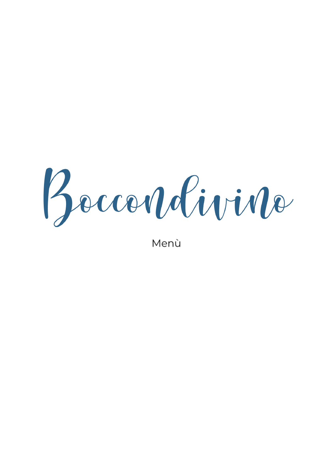Boccordévirdo

Menù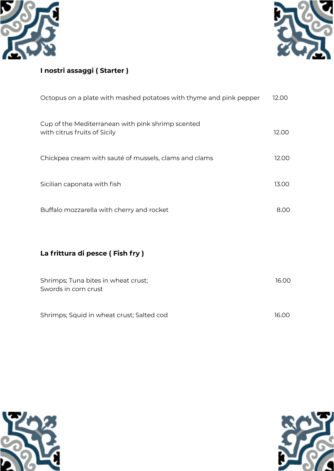



## **I nostri assaggi ( Starter )**

| Octopus on a plate with mashed potatoes with thyme and pink pepper                | 12.00 |
|-----------------------------------------------------------------------------------|-------|
| Cup of the Mediterranean with pink shrimp scented<br>with citrus fruits of Sicily | 12.00 |
| Chickpea cream with sauté of mussels, clams and clams                             | 12.00 |
| Sicilian caponata with fish                                                       | 13.00 |
| Buffalo mozzarella with cherry and rocket                                         | 8.00  |
|                                                                                   |       |
| La frittura di pesce (Fish fry)                                                   |       |
| Shrimps; Tuna bites in wheat crust;<br>Swords in corn crust                       | 16.00 |
| Shrimps; Squid in wheat crust; Salted cod                                         | 16.00 |



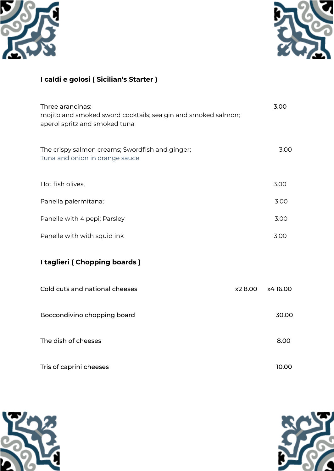



# **I caldi e golosi ( Sicilian's Starter )**

| Three arancinas:<br>mojito and smoked sword cocktails; sea gin and smoked salmon;<br>aperol spritz and smoked tuna |        | 3.00    |
|--------------------------------------------------------------------------------------------------------------------|--------|---------|
| The crispy salmon creams; Swordfish and ginger;<br>Tuna and onion in orange sauce                                  |        | 3.00    |
| Hot fish olives,                                                                                                   |        | 3.00    |
| Panella palermitana;                                                                                               |        | 3.00    |
| Panelle with 4 pepi; Parsley                                                                                       |        | 3.00    |
| Panelle with with squid ink                                                                                        |        | 3.00    |
| I taglieri (Chopping boards)                                                                                       |        |         |
| Cold cuts and national cheeses                                                                                     | x28.00 | x416.00 |
| Boccondivino chopping board                                                                                        |        | 30.00   |
| The dish of cheeses                                                                                                |        | 8.00    |
| Tris of caprini cheeses                                                                                            |        | 10.00   |



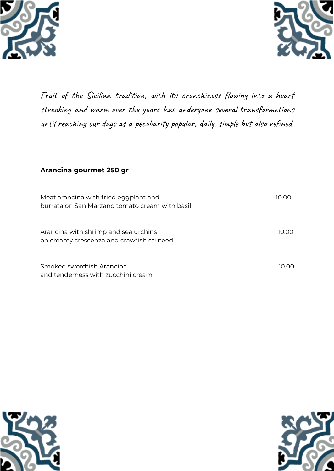



Fruit of the Sicilian tradition, with its crunchiness flowing into a heart streaking and warm over the years has undergone several transformations until reaching our days as a peculiarity popular, daily, simple but also refined

#### **Arancina gourmet 250 gr**

| Meat arancina with fried eggplant and<br>burrata on San Marzano tomato cream with basil | 10.00 |
|-----------------------------------------------------------------------------------------|-------|
| Arancina with shrimp and sea urchins<br>on creamy crescenza and crawfish sauteed        | 10.00 |
| Smoked swordfish Arancina<br>and tenderness with zucchini cream                         | 10.OO |



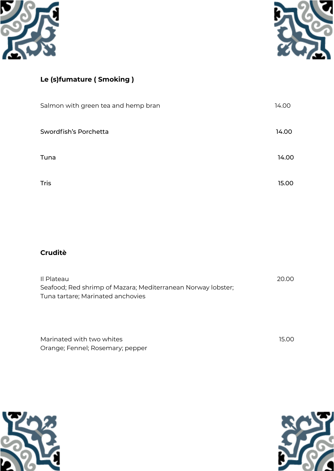



# **Le (s)fumature ( Smoking )**

| Salmon with green tea and hemp bran | 14.00 |
|-------------------------------------|-------|
| Swordfish's Porchetta               | 14.00 |
| Tuna                                | 14.00 |
| Tris                                | 15.00 |

## **Cruditè**

| Il Plateau                                                   | 20.00 |
|--------------------------------------------------------------|-------|
| Seafood; Red shrimp of Mazara; Mediterranean Norway lobster; |       |
| Tuna tartare; Marinated anchovies                            |       |

| Marinated with two whites        | 15.00 |  |
|----------------------------------|-------|--|
| Orange; Fennel; Rosemary; pepper |       |  |



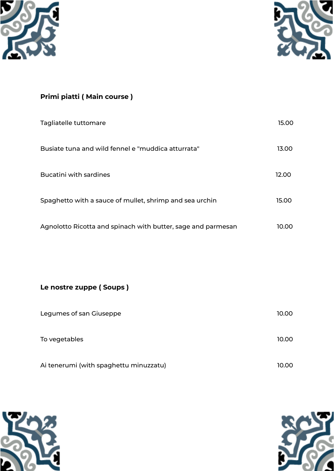



# **Primi piatti ( Main course )**

| Tagliatelle tuttomare                                        | 15.00 |
|--------------------------------------------------------------|-------|
| Busiate tuna and wild fennel e "muddica atturrata"           | 13.00 |
| <b>Bucatini with sardines</b>                                | 12.00 |
| Spaghetto with a sauce of mullet, shrimp and sea urchin      | 15.00 |
| Agnolotto Ricotta and spinach with butter, sage and parmesan | 10.00 |

**Le nostre zuppe ( Soups )**

| Legumes of san Giuseppe                | 10.00 |
|----------------------------------------|-------|
| To vegetables                          | 10.00 |
| Ai tenerumi (with spaghettu minuzzatu) | 10.00 |



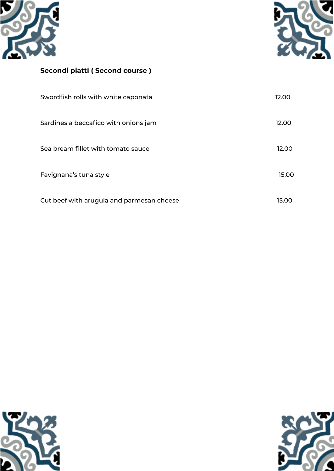



## **Secondi piatti ( Second course )**

| Swordfish rolls with white caponata       | 12.00 |
|-------------------------------------------|-------|
| Sardines a beccafico with onions jam      | 12.00 |
| Sea bream fillet with tomato sauce        | 12.00 |
| Favignana's tuna style                    | 15.00 |
| Cut beef with arugula and parmesan cheese | 15.00 |



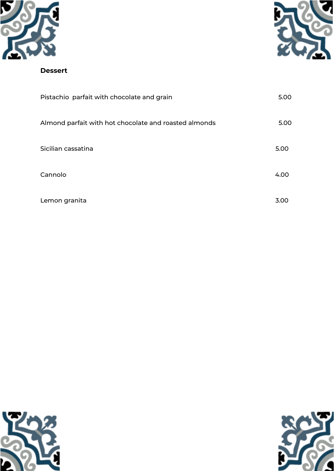



#### **Dessert**

| Pistachio parfait with chocolate and grain            | 5.00 |
|-------------------------------------------------------|------|
| Almond parfait with hot chocolate and roasted almonds | 5.00 |
| Sicilian cassatina                                    | 5.00 |
| Cannolo                                               | 4.00 |
| Lemon granita                                         | 3.00 |



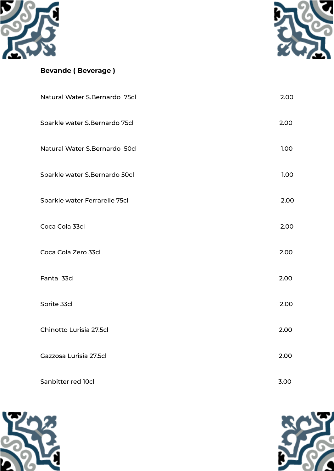



#### **Bevande ( Beverage )**

| Natural Water S.Bernardo 75cl | 2.00 |
|-------------------------------|------|
| Sparkle water S.Bernardo 75cl | 2.00 |
| Natural Water S.Bernardo 50cl | 1.00 |
| Sparkle water S.Bernardo 50cl | 1.00 |
| Sparkle water Ferrarelle 75cl | 2.00 |
| Coca Cola 33cl                | 2.00 |
| Coca Cola Zero 33cl           | 2.00 |
| Fanta 33cl                    | 2.00 |
| Sprite 33cl                   | 2.00 |
| Chinotto Lurisia 27.5cl       | 2.00 |
| Gazzosa Lurisia 27.5cl        | 2.00 |
| Sanbitter red 10cl            | 3.00 |